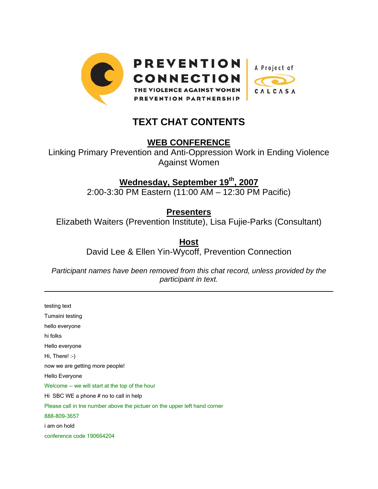

# **TEXT CHAT CONTENTS**

**WEB CONFERENCE**

Linking Primary Prevention and Anti-Oppression Work in Ending Violence Against Women

# **Wednesday, September 19th, 2007**

2:00-3:30 PM Eastern (11:00 AM – 12:30 PM Pacific)

**Presenters**

Elizabeth Waiters (Prevention Institute), Lisa Fujie-Parks (Consultant)

**Host** David Lee & Ellen Yin-Wycoff, Prevention Connection

*Participant names have been removed from this chat record, unless provided by the participant in text.* 

testing text Tumaini testing hello everyone hi folks Hello everyone Hi, There! :-) now we are getting more people! Hello Everyone Welcome -- we will start at the top of the hour Hi SBC WE a phone # no to call in help Please call in tne number above the pictuer on the upper left hand corner 888-809-3657 i am on hold conference code 190664204

l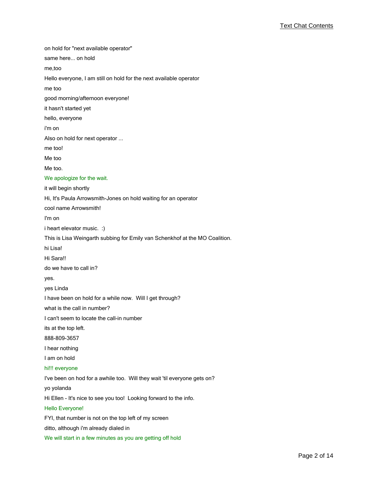on hold for "next available operator" same here... on hold me,too Hello everyone, I am still on hold for the next available operator me too good morning/afternoon everyone! it hasn't started yet hello, everyone i'm on Also on hold for next operator ... me too! Me too Me too. We apologize for the wait. it will begin shortly Hi, It's Paula Arrowsmith-Jones on hold waiting for an operator cool name Arrowsmith! I'm on i heart elevator music. :) This is Lisa Weingarth subbing for Emily van Schenkhof at the MO Coalition. hi Lisa! Hi Sara!! do we have to call in? yes. yes Linda I have been on hold for a while now. Will I get through? what is the call in number? I can't seem to locate the call-in number its at the top left. 888-809-3657 I hear nothing I am on hold hi!!! everyone I've been on hod for a awhile too. Will they wait 'til everyone gets on? yo yolanda Hi Ellen - It's nice to see you too! Looking forward to the info. Hello Everyone! FYI, that number is not on the top left of my screen ditto, although i'm already dialed in We will start in a few minutes as you are getting off hold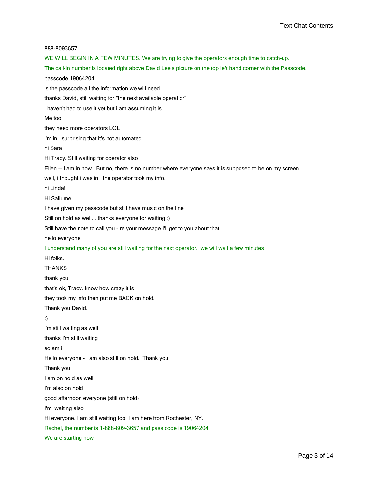888-8093657 WE WILL BEGIN IN A FEW MINUTES. We are trying to give the operators enough time to catch-up. The call-in number is located right above David Lee's picture on the top left hand corner with the Passcode. passcode 19064204 is the passcode all the information we will need thanks David, still waiting for "the next available operatior" i haven't had to use it yet but i am assuming it is Me too they need more operators LOL i'm in. surprising that it's not automated. hi Sara Hi Tracy. Still waiting for operator also Ellen -- I am in now. But no, there is no number where everyone says it is supposed to be on my screen. well, i thought i was in. the operator took my info. hi Linda! Hi Saliume I have given my passcode but still have music on the line Still on hold as well... thanks everyone for waiting :) Still have the note to call you - re your message I'll get to you about that hello everyone I understand many of you are still waiting for the next operator. we will wait a few minutes Hi folks. THANKS thank you that's ok, Tracy. know how crazy it is they took my info then put me BACK on hold. Thank you David. :) i'm still waiting as well thanks I'm still waiting so am i Hello everyone - I am also still on hold. Thank you. Thank you I am on hold as well. I'm also on hold good afternoon everyone (still on hold) I'm waiting also Hi everyone. I am still waiting too. I am here from Rochester, NY. Rachel, the number is 1-888-809-3657 and pass code is 19064204 We are starting now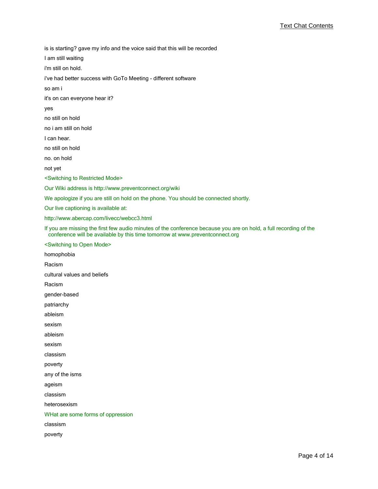is is starting? gave my info and the voice said that this will be recorded

I am still waiting

i'm still on hold.

i've had better success with GoTo Meeting - different software

so am i

it's on can everyone hear it?

yes

no still on hold

no i am still on hold

I can hear.

no still on hold

no. on hold

not yet

<Switching to Restricted Mode>

Our Wiki address is http://www.preventconnect.org/wiki

We apologize if you are still on hold on the phone. You should be connected shortly.

Our live captioning is available at:

http://www.abercap.com/livecc/webcc3.html

If you are missing the first few audio minutes of the conference because you are on hold, a full recording of the conference will be available by this time tomorrow at www.preventconnect.org

<Switching to Open Mode>

homophobia Racism cultural values and beliefs Racism gender-based patriarchy ableism sexism ableism sexism classism poverty any of the isms ageism classism heterosexism WHat are some forms of oppression classism poverty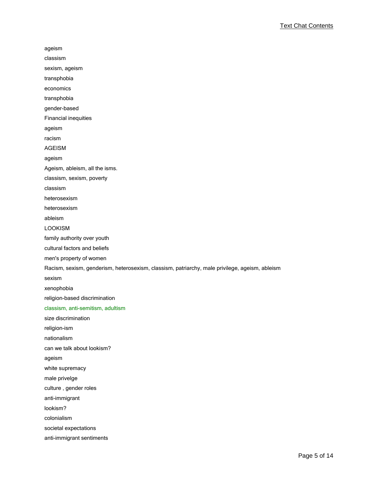ageism classism sexism, ageism transphobia economics transphobia gender-based Financial inequities ageism racism AGEISM ageism Ageism, ableism, all the isms. classism, sexism, poverty classism heterosexism heterosexism ableism LOOKISM family authority over youth cultural factors and beliefs men's property of women Racism, sexism, genderism, heterosexism, classism, patriarchy, male privilege, ageism, ableism sexism xenophobia religion-based discrimination classism, anti-semitism, adultism size discrimination religion-ism nationalism can we talk about lookism? ageism white supremacy male privelge culture , gender roles anti-immigrant lookism? colonialism societal expectations anti-immigrant sentiments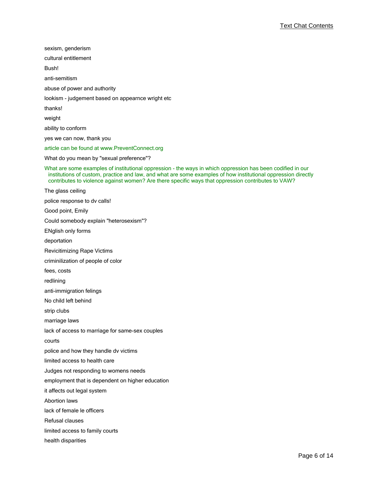sexism, genderism cultural entitlement Bush! anti-semitism abuse of power and authority lookism - judgement based on appearnce wright etc thanks! weight ability to conform yes we can now, thank you article can be found at www.PreventConnect.org What do you mean by "sexual preference"? What are some examples of institutional oppression - the ways in which oppression has been codified in our institutions of custom, practice and law, and what are some examples of how institutional oppression directly contributes to violence against women? Are there specific ways that oppression contributes to VAW? The glass ceiling police response to dv calls! Good point, Emily Could somebody explain "heterosexism"? ENglish only forms deportation Revicitimizing Rape Victims criminilization of people of color fees, costs redlining anti-immigration felings No child left behind strip clubs marriage laws lack of access to marriage for same-sex couples courts police and how they handle dv victims limited access to health care Judges not responding to womens needs employment that is dependent on higher education it affects out legal system Abortion laws lack of female le officers Refusal clauses limited access to family courts health disparities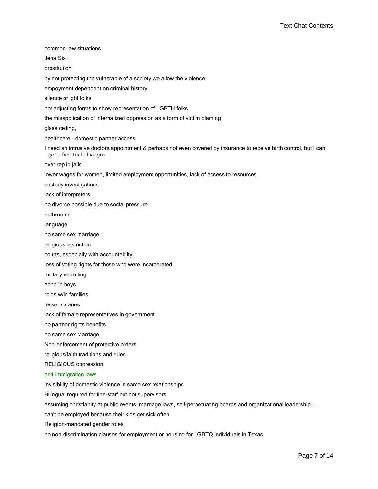| common-law situations                                                                                                                             |
|---------------------------------------------------------------------------------------------------------------------------------------------------|
| Jena Six                                                                                                                                          |
| prostitution                                                                                                                                      |
| by not protecting the vulnerable of a society we allow the violence                                                                               |
| empoyment dependent on criminal history                                                                                                           |
| silence of Igbt folks                                                                                                                             |
| not adjusting forms to show representation of LGBTH folks                                                                                         |
| the misapplication of internalized oppression as a form of victim blaming                                                                         |
| glass ceiling,                                                                                                                                    |
| healthcare - domestic partner access                                                                                                              |
| I need an intrusive doctors appointment & perhaps not even covered by insurance to receive birth control, but I can<br>get a free trial of viagra |
| over rep in jails                                                                                                                                 |
| lower wages for women, limited employment opportunities, lack of access to resources                                                              |
| custody investigations                                                                                                                            |
| lack of interpreters                                                                                                                              |
| no divorce possible due to social pressure                                                                                                        |
| bathrooms                                                                                                                                         |
| language                                                                                                                                          |
| no same sex marriage                                                                                                                              |
| religious restriction                                                                                                                             |
| courts, especially with accountabilty                                                                                                             |
| loss of voting rights for those who were incarcerated                                                                                             |
| military recruiting                                                                                                                               |
| adhd in boys                                                                                                                                      |
| roles w/in families                                                                                                                               |
| lesser salaries                                                                                                                                   |
| lack of female representatives in government                                                                                                      |
| no partner rights benefits                                                                                                                        |
| no same sex Marriage                                                                                                                              |
| Non-enforcement of protective orders                                                                                                              |
| religious/faith traditions and rules                                                                                                              |
| RELIGIOUS oppression                                                                                                                              |
| anti-immigration laws                                                                                                                             |
| invisibility of domestic violence in same sex relationships                                                                                       |
| Bilingual required for line-staff but not supervisors                                                                                             |
| assuming christianity at public events, marriage laws, self-perpetuating boards and organizational leadership                                     |
| can't be employed because their kids get sick often                                                                                               |
| Religion-mandated gender roles                                                                                                                    |
| no non-discrimination clauses for employment or housing for LGBTQ individuals in Texas                                                            |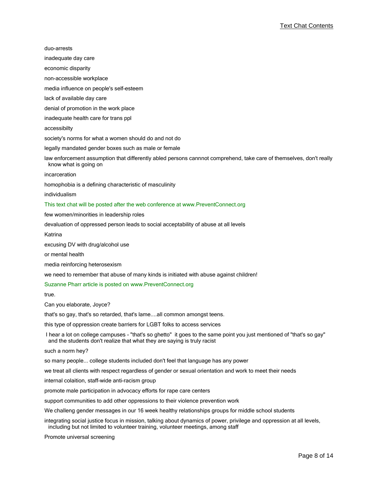| duo-arrests                                                                                                                                                                                       |
|---------------------------------------------------------------------------------------------------------------------------------------------------------------------------------------------------|
| inadequate day care                                                                                                                                                                               |
| economic disparity                                                                                                                                                                                |
| non-accessible workplace                                                                                                                                                                          |
| media influence on people's self-esteem                                                                                                                                                           |
| lack of available day care                                                                                                                                                                        |
| denial of promotion in the work place                                                                                                                                                             |
| inadequate health care for trans ppl                                                                                                                                                              |
| accessibilty                                                                                                                                                                                      |
| society's norms for what a women should do and not do                                                                                                                                             |
| legally mandated gender boxes such as male or female                                                                                                                                              |
| law enforcement assumption that differently abled persons cannnot comprehend, take care of themselves, don't really<br>know what is going on                                                      |
| incarceration                                                                                                                                                                                     |
| homophobia is a defining characteristic of masculinity                                                                                                                                            |
| individualism                                                                                                                                                                                     |
| This text chat will be posted after the web conference at www.PreventConnect.org                                                                                                                  |
| few women/minorities in leadership roles                                                                                                                                                          |
| devaluation of oppressed person leads to social acceptability of abuse at all levels                                                                                                              |
| Katrina                                                                                                                                                                                           |
| excusing DV with drug/alcohol use                                                                                                                                                                 |
| or mental health                                                                                                                                                                                  |
| media reinforcing heterosexism                                                                                                                                                                    |
| we need to remember that abuse of many kinds is initiated with abuse against children!                                                                                                            |
| Suzanne Pharr article is posted on www.PreventConnect.org                                                                                                                                         |
| true.                                                                                                                                                                                             |
| Can you elaborate, Joyce?                                                                                                                                                                         |
| that's so gay, that's so retarded, that's lameall common amongst teens.                                                                                                                           |
| this type of oppression create barriers for LGBT folks to access services                                                                                                                         |
| I hear a lot on college campuses - "that's so ghetto" it goes to the same point you just mentioned of "that's so gay"<br>and the students don't realize that what they are saying is truly racist |
| such a norm hey?                                                                                                                                                                                  |
| so many people college students included don't feel that language has any power                                                                                                                   |

we treat all clients with respect regardless of gender or sexual orientation and work to meet their needs

internal colaition, staff-wide anti-racism group

promote male participation in advocacy efforts for rape care centers

support communities to add other oppressions to their violence prevention work

We challeng gender messages in our 16 week healthy relationships groups for middle school students

integrating social justice focus in mission, talking about dynamics of power, privilege and oppression at all levels, including but not limited to volunteer training, volunteer meetings, among staff

Promote universal screening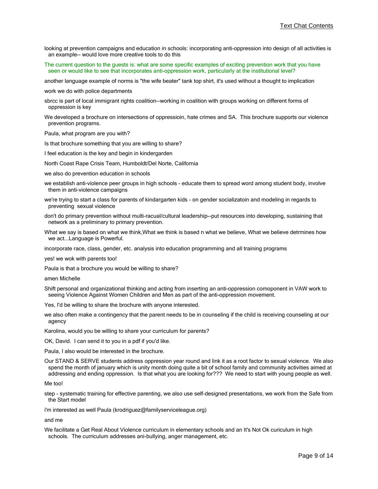- looking at prevention campaigns and education in schools: incorporating anti-oppression into design of all activities is an example-- would love more creative tools to do this
- The current question to the guests is: what are some specific examples of exciting prevention work that you have seen or would like to see that incorporates anti-oppression work, particularly at the institutional level?

another language example of norms is "the wife beater" tank top shirt, it's used without a thought to implication

work we do with police departments

- sbrcc is part of local immigrant rights coalition--working in coalition with groups working on different forms of oppression is key
- We developed a brochure on intersections of oppressioin, hate crimes and SA. This brochure supports our violence prevention programs.

Paula, what program are you with?

Is that brochure something that you are willing to share?

I feel education is the key and begin in kindergarden

North Coast Rape Crisis Team, Humboldt/Del Norte, California

we also do prevention education in schools

- we establish anti-violence peer groups in high schools educate them to spread word among student body, involve them in anti-violence campaigns
- we're trying to start a class for parents of kindargarten kids on gender socializatoin and modeling in regards to preventing sexual violence
- don't do primary prevention without multi-racual/cultural leadership--put resources into developing, sustaining that network as a preliminary to primary prevention.
- What we say is based on what we think,What we think is based n what we believe, What we believe detrmines how we act...Language is Powerful.

incorporate race, class, gender, etc. analysis into education programming and all training programs

yes! we wok with parents too!

Paula is that a brochure you would be willing to share?

amen Michelle

Shift personal and organizational thinking and acting from inserting an anti-oppression comoponent in VAW work to seeing Violence Against Women Children and Men as part of the anti-oppression movement.

Yes, I'd be willing to share the brochure with anyone interested.

we also often make a contingency that the parent needs to be in counseling if the child is receiving counseling at our agency

Karolina, would you be willing to share your curriculum for parents?

OK, David. I can send it to you in a pdf if you'd like.

Paula, I also would be interested in the brochure.

Our STAND & SERVE students address oppression year round and link it as a root factor to sexual violence. We also spend the month of january which is unity month doing quite a bit of school family and community activities aimed at addressing and ending oppression. Is that what you are looking for??? We need to start with young people as well.

Me too!

step - systematic training for effective parenting, we also use self-designed presentations, we work from the Safe from the Start model

i'm interested as well Paula (krodriguez@familyserviceleague.org)

and me

We facilitate a Get Real About Violence curriculum in elementary schools and an It's Not Ok curiculum in high schools. The curriculum addresses ani-bullying, anger management, etc.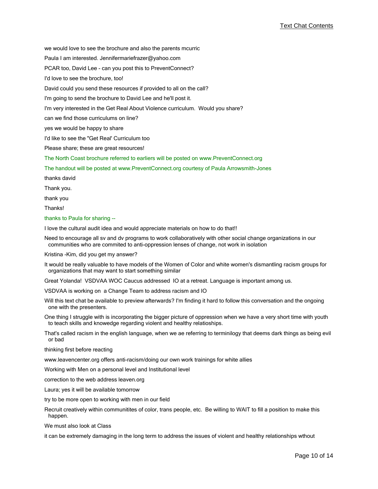we would love to see the brochure and also the parents mcurric

Paula I am interested. Jennifermariefrazer@yahoo.com

PCAR too, David Lee - can you post this to PreventConnect?

I'd love to see the brochure, too!

David could you send these resources if provided to all on the call?

I'm going to send the brochure to David Lee and he'll post it.

I'm very interested in the Get Real About Violence curriculum. Would you share?

can we find those curriculums on line?

yes we would be happy to share

I'd like to see the "Get Real' Curriculum too

Please share; these are great resources!

The North Coast brochure referred to earliers will be posted on www.PreventConnect.org

The handout will be posted at www.PreventConnect.org courtesy of Paula Arrowsmith-Jones

thanks david

Thank you.

thank you

Thanks!

thanks to Paula for sharing --

I love the cultural audit idea and would appreciate materials on how to do that!!

Need to encourage all sv and dv programs to work collaboratively with other social change organizations in our communities who are commited to anti-oppression lenses of change, not work in isolation

Kristina -Kim, did you get my answer?

It would be really valuable to have models of the Women of Color and white women's dismantling racism groups for organizations that may want to start something similar

Great Yolanda! VSDVAA WOC Caucus addressed IO at a retreat. Language is important among us.

VSDVAA is working on a Change Team to address racism and IO

Will this text chat be available to preview afterwards? I'm finding it hard to follow this conversation and the ongoing one with the presenters.

One thing I struggle with is incorporating the bigger picture of oppression when we have a very short time with youth to teach skills and knowedge regarding violent and healthy relatioships.

That's called racism in the english language, when we ae referring to terminilogy that deems dark things as being evil or bad

thinking first before reacting

www.leavencenter.org offers anti-racism/doing our own work trainings for white allies

Working with Men on a personal level and Institutional level

correction to the web address leaven.org

Laura; yes it will be available tomorrow

try to be more open to working with men in our field

Recruit creatively within communitites of color, trans people, etc. Be willing to WAIT to fill a position to make this happen.

We must also look at Class

it can be extremely damaging in the long term to address the issues of violent and healthy relationships wthout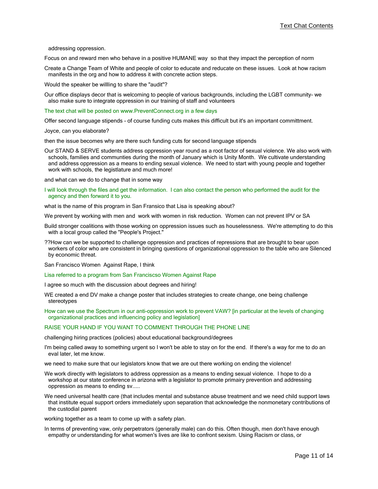addressing oppression.

Focus on and reward men who behave in a positive HUMANE way so that they impact the perception of norm

Create a Change Team of White and people of color to educate and reducate on these issues. Look at how racism manifests in the org and how to address it with concrete action steps.

Would the speaker be willling to share the "audit"?

Our office displays decor that is welcoming to people of various backgrounds, including the LGBT community- we also make sure to integrate oppression in our training of staff and volunteers

The text chat will be posted on www.PreventConnect.org in a few days

Offer second language stipends - of course funding cuts makes this difficult but it's an important committment.

Joyce, can you elaborate?

then the issue becomes why are there such funding cuts for second language stipends

Our STAND & SERVE students address oppression year round as a root factor of sexual violence. We also work with schools, families and communties during the month of January which is Unity Month. We cultivate understanding and address oppression as a means to ending sexual violence. We need to start with young people and together work with schools, the legistlature and much more!

and what can we do to change that in some way

I will look through the files and get the information. I can also contact the person who performed the audit for the agency and then forward it to you.

what is the name of this program in San Fransico that Lisa is speaking about?

We prevent by working with men and work with women in risk reduction. Women can not prevent IPV or SA

- Build stronger coalitions with those working on oppression issues such as houselessness. We're attempting to do this with a local group called the "People's Project."
- ??How can we be supported to challenge oppression and practices of repressions that are brought to bear upon workers of color who are consistent in bringing questions of organizational oppression to the table who are Silenced by economic threat.

San Francisco Women Against Rape, I think

Lisa referred to a program from San Franciscso Women Against Rape

I agree so much with the discussion about degrees and hiring!

WE created a end DV make a change poster that includes strategies to create change, one being challenge stereotypes

How can we use the Spectrum in our anti-oppression work to prevent VAW? [in particular at the levels of changing organizational practices and influencing policy and legislation]

## RAISE YOUR HAND IF YOU WANT TO COMMENT THROUGH THE PHONE LINE

challenging hiring practices (policies) about educational background/degrees

I'm being called away to something urgent so I won't be able to stay on for the end. If there's a way for me to do an eval later, let me know.

we need to make sure that our legislators know that we are out there working on ending the violence!

- We work directly with legislators to address oppression as a means to ending sexual violence. I hope to do a workshop at our state conference in arizona with a legislator to promote primairy prevention and addressing oppression as means to ending sv.....
- We need universal health care (that includes mental and substance abuse treatment and we need child support laws that institute equal support orders immediately upon separation that acknowledge the nonmonetary contributions of the custodial parent

working together as a team to come up with a safety plan.

In terms of preventing vaw, only perpetrators (generally male) can do this. Often though, men don't have enough empathy or understanding for what women's lives are like to confront sexism. Using Racism or class, or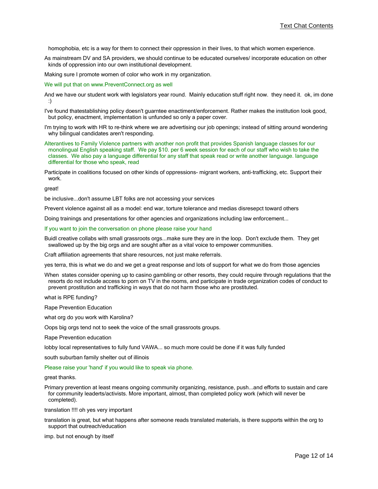homophobia, etc is a way for them to connect their oppression in their lives, to that which women experience.

As mainstream DV and SA providers, we should continue to be educated ourselves/ incorporate education on other kinds of oppression into our own institutional development.

Making sure I promote women of color who work in my organization.

We will put that on www.PreventConnect.org as well

- And we have our student work with legislators year round. Mainly education stuff right now. they need it. ok, im done :)
- I've found thatestablishing policy doesn't guarntee enactiment/enforcement. Rather makes the institution look good, but policy, enactment, implementation is unfunded so only a paper cover.
- I'm trying to work with HR to re-think where we are advertising our job openings; instead of sitting around wondering why bilingual candidates aren't responding.
- Alterantives to Family Violence partners with another non profit that provides Spanish language classes for our monolingual English speaking staff. We pay \$10. per 6 week session for each of our staff who wish to take the classes. We also pay a language differential for any staff that speak read or write another language. language differential for those who speak, read
- Participate in coalitions focused on other kinds of oppressions- migrant workers, anti-trafficking, etc. Support their work.

great!

be inclusive...don't assume LBT folks are not accessing your services

Prevent violence against all as a model: end war, torture tolerance and medias disresepct toward others

Doing trainings and presentations for other agencies and organizations including law enforcement...

If you want to join the conversation on phone please raise your hand

Buidl creative collabs with small grassroots orgs...make sure they are in the loop. Don't exclude them. They get swallowed up by the big orgs and are sought after as a vital voice to empower communities.

Craft affiliation agreements that share resources, not just make referrals.

yes terra, this is what we do and we get a great response and lots of support for what we do from those agencies

When states consider opening up to casino gambling or other resorts, they could require through regulations that the resorts do not include access to porn on TV in the rooms, and participate in trade organization codes of conduct to prevent prostitution and trafficking in ways that do not harm those who are prostituted.

what is RPE funding?

Rape Prevention Education

what org do you work with Karolina?

Oops big orgs tend not to seek the voice of the small grassroots groups.

Rape Prevention education

lobby local representatives to fully fund VAWA... so much more could be done if it was fully funded

south suburban family shelter out of illinois

Please raise your 'hand' if you would like to speak via phone.

great thanks.

Primary prevention at least means ongoing community organizing, resistance, push...and efforts to sustain and care for community leaderts/activists. More important, almost, than completed policy work (which will never be completed).

translation !!!! oh yes very important

translation is great, but what happens after someone reads translated materials, is there supports within the org to support that outreach/education

imp. but not enough by itself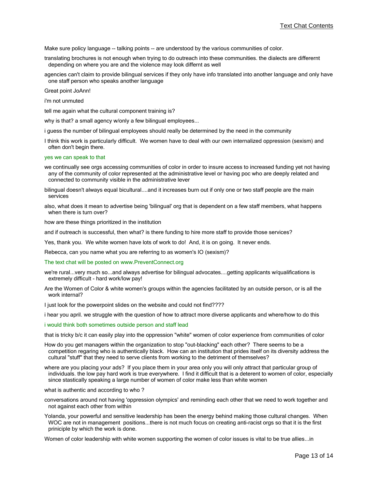Make sure policy language -- talking points -- are understood by the various communities of color.

translating brochures is not enough when trying to do outreach into these communities. the dialects are differernt depending on where you are and the violence may look differnt as well

agencies can't claim to provide bilingual services if they only have info translated into another language and only have one staff person who speaks another language

Great point JoAnn!

i'm not unmuted

tell me again what the cultural component training is?

why is that? a small agency w/only a few bilingual employees...

i guess the number of bilingual employees should really be determined by the need in the community

I think this work is particularly difficult. We women have to deal with our own internalized oppression (sexism) and often don't begin there.

### yes we can speak to that

we continually see orgs accessing communities of color in order to insure access to increased funding yet not having any of the community of color represented at the administrative level or having poc who are deeply related and connected to community visible in the administrative lever

bilingual doesn't always equal bicultural....and it increases burn out if only one or two staff people are the main services

also, what does it mean to advertise being 'bilingual' org that is dependent on a few staff members, what happens when there is turn over?

how are these things prioritized in the institution

and if outreach is successful, then what? is there funding to hire more staff to provide those services?

Yes, thank you. We white women have lots of work to do! And, it is on going. It never ends.

Rebecca, can you name what you are referring to as women's IO (sexism)?

The text chat will be posted on www.PreventConnect.org

we're rural...very much so...and always advertise for bilingual advocates....getting applicants w/qualifications is extremely difficult - hard work/low pay!

Are the Women of Color & white women's groups within the agencies facilitated by an outside person, or is all the work internal?

I just look for the powerpoint slides on the website and could not find????

i hear you april. we struggle with the question of how to attract more diverse applicants and where/how to do this

### i would think both sometimes outside person and staff lead

that is tricky b/c it can easily play into the oppression "white" women of color experience from communities of color

How do you get managers within the organization to stop "out-blacking" each other? There seems to be a competition regaring who is authentically black. How can an institution that prides itself on its diversity address the cultural "stuff" that they need to serve clients from working to the detriment of themselves?

where are you placing your ads? If you place them in your area only you will only attract that particular group of individuals. the low pay hard work is true everywhere. I find it difficult that is a deterent to women of color, especially since stastically speaking a large number of women of color make less than white women

what is authentic and according to who ?

conversations around not having 'oppression olympics' and reminding each other that we need to work together and not against each other from within

Yolanda, your powerful and sensitive leadership has been the energy behind making those cultural changes. When WOC are not in management positions...there is not much focus on creating anti-racist orgs so that it is the first priniciple by which the work is done.

Women of color leadership with white women supporting the women of color issues is vital to be true allies...in